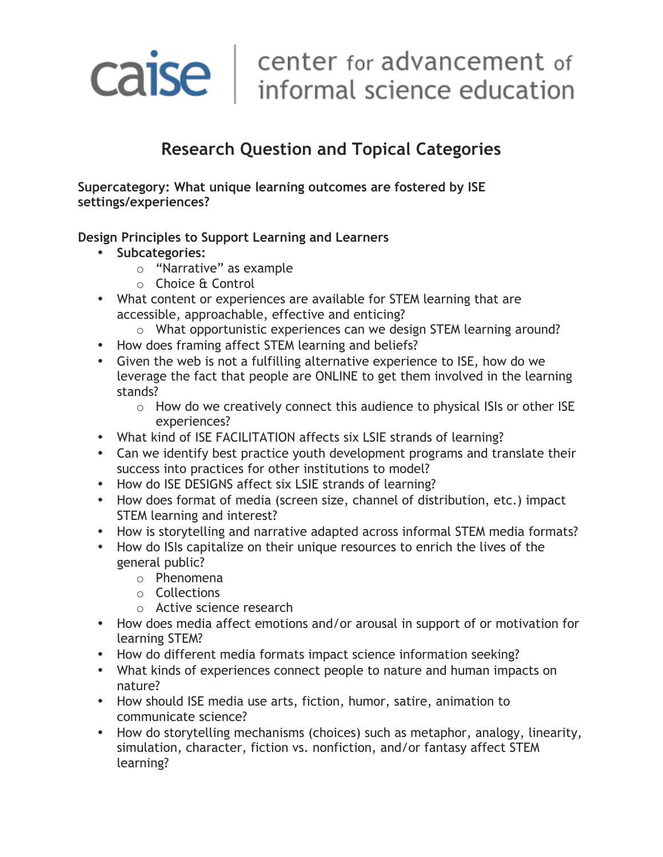# Caise | center for advancement of<br>informal science education

## **Research Question and Topical Categories**

**Supercategory: What unique learning outcomes are fostered by ISE settings/experiences?**

#### **Design Principles to Support Learning and Learners**

- **Subcategories:**
	- o "Narrative" as example
	- o Choice & Control
- What content or experiences are available for STEM learning that are accessible, approachable, effective and enticing?
	- o What opportunistic experiences can we design STEM learning around?
- How does framing affect STEM learning and beliefs?
- Given the web is not a fulfilling alternative experience to ISE, how do we leverage the fact that people are ONLINE to get them involved in the learning stands?
	- o How do we creatively connect this audience to physical ISIs or other ISE experiences?
- What kind of ISE FACILITATION affects six LSIE strands of learning?
- Can we identify best practice youth development programs and translate their success into practices for other institutions to model?
- How do ISE DESIGNS affect six LSIE strands of learning?
- How does format of media (screen size, channel of distribution, etc.) impact STEM learning and interest?
- How is storytelling and narrative adapted across informal STEM media formats?
- How do ISIs capitalize on their unique resources to enrich the lives of the general public?
	- o Phenomena
	- o Collections
	- o Active science research
- How does media affect emotions and/or arousal in support of or motivation for learning STEM?
- How do different media formats impact science information seeking?
- What kinds of experiences connect people to nature and human impacts on nature?
- How should ISE media use arts, fiction, humor, satire, animation to communicate science?
- How do storytelling mechanisms (choices) such as metaphor, analogy, linearity, simulation, character, fiction vs. nonfiction, and/or fantasy affect STEM learning?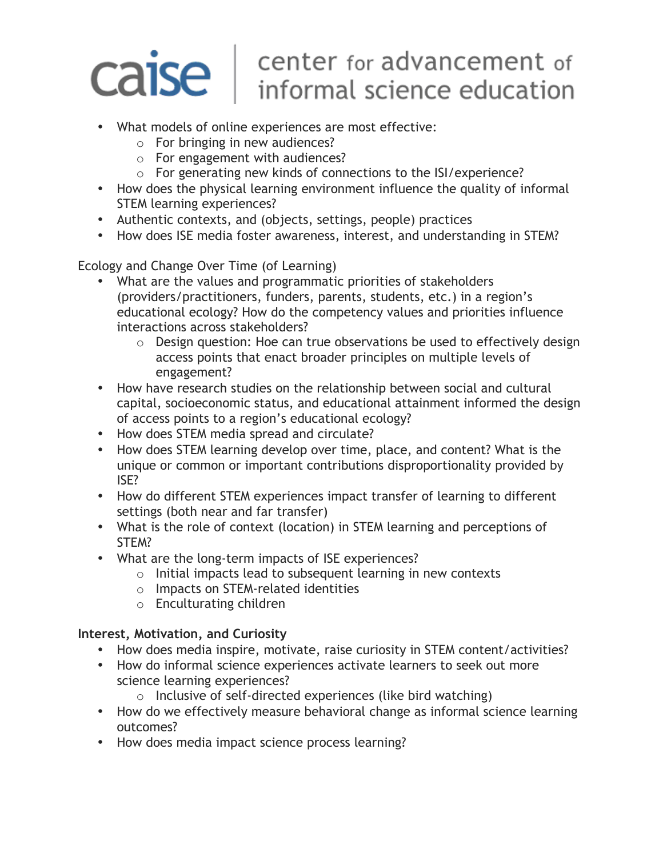## center for advancement of caise informal science education

- What models of online experiences are most effective:
	- o For bringing in new audiences?
	- o For engagement with audiences?
	- o For generating new kinds of connections to the ISI/experience?
- How does the physical learning environment influence the quality of informal STEM learning experiences?
- Authentic contexts, and (objects, settings, people) practices
- How does ISE media foster awareness, interest, and understanding in STEM?

Ecology and Change Over Time (of Learning)

- What are the values and programmatic priorities of stakeholders (providers/practitioners, funders, parents, students, etc.) in a region's educational ecology? How do the competency values and priorities influence interactions across stakeholders?
	- o Design question: Hoe can true observations be used to effectively design access points that enact broader principles on multiple levels of engagement?
- How have research studies on the relationship between social and cultural capital, socioeconomic status, and educational attainment informed the design of access points to a region's educational ecology?
- How does STEM media spread and circulate?
- How does STEM learning develop over time, place, and content? What is the unique or common or important contributions disproportionality provided by ISE?
- How do different STEM experiences impact transfer of learning to different settings (both near and far transfer)
- What is the role of context (location) in STEM learning and perceptions of STEM?
- What are the long-term impacts of ISE experiences?
	- o Initial impacts lead to subsequent learning in new contexts
	- o Impacts on STEM-related identities
	- o Enculturating children

#### **Interest, Motivation, and Curiosity**

- How does media inspire, motivate, raise curiosity in STEM content/activities?
- How do informal science experiences activate learners to seek out more science learning experiences?
	- o Inclusive of self-directed experiences (like bird watching)
- How do we effectively measure behavioral change as informal science learning outcomes?
- How does media impact science process learning?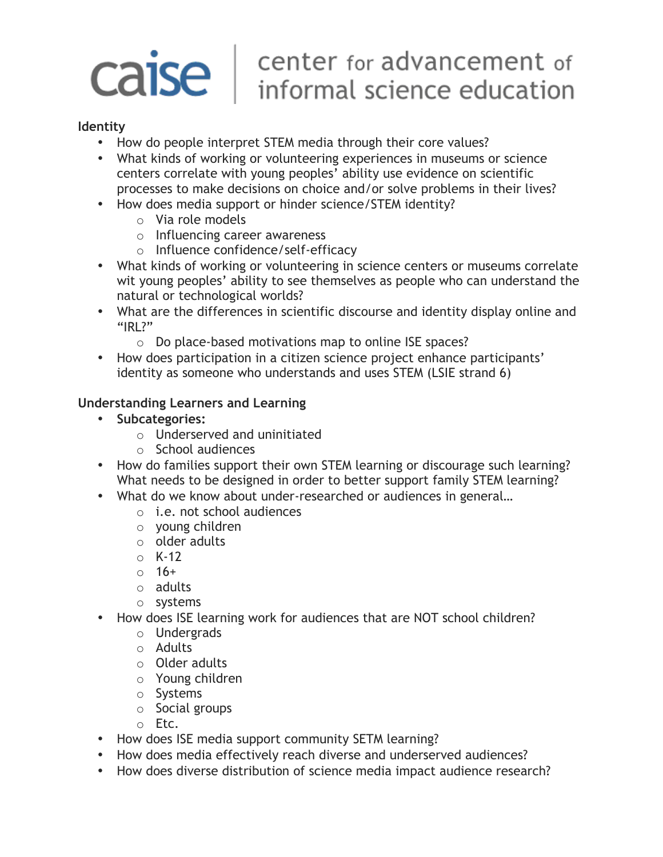# Caise | center for advancement of<br>informal science education

#### **Identity**

- How do people interpret STEM media through their core values?
- What kinds of working or volunteering experiences in museums or science centers correlate with young peoples' ability use evidence on scientific processes to make decisions on choice and/or solve problems in their lives?
- How does media support or hinder science/STEM identity?
	- o Via role models
	- o Influencing career awareness
	- o Influence confidence/self-efficacy
- What kinds of working or volunteering in science centers or museums correlate wit young peoples' ability to see themselves as people who can understand the natural or technological worlds?
- What are the differences in scientific discourse and identity display online and "IRI?"
	- o Do place-based motivations map to online ISE spaces?
- How does participation in a citizen science project enhance participants' identity as someone who understands and uses STEM (LSIE strand 6)

#### **Understanding Learners and Learning**

- **Subcategories:**
	- o Underserved and uninitiated
	- o School audiences
- How do families support their own STEM learning or discourage such learning? What needs to be designed in order to better support family STEM learning?
- What do we know about under-researched or audiences in general…
	- o i.e. not school audiences
	- o young children
	- o older adults
	- $\circ$  K-12
	- o 16+
	- o adults
	- o systems
- How does ISE learning work for audiences that are NOT school children?
	- o Undergrads
	- o Adults
	- o Older adults
	- o Young children
	- o Systems
	- o Social groups
	- o Etc.
- How does ISE media support community SETM learning?
- How does media effectively reach diverse and underserved audiences?
- How does diverse distribution of science media impact audience research?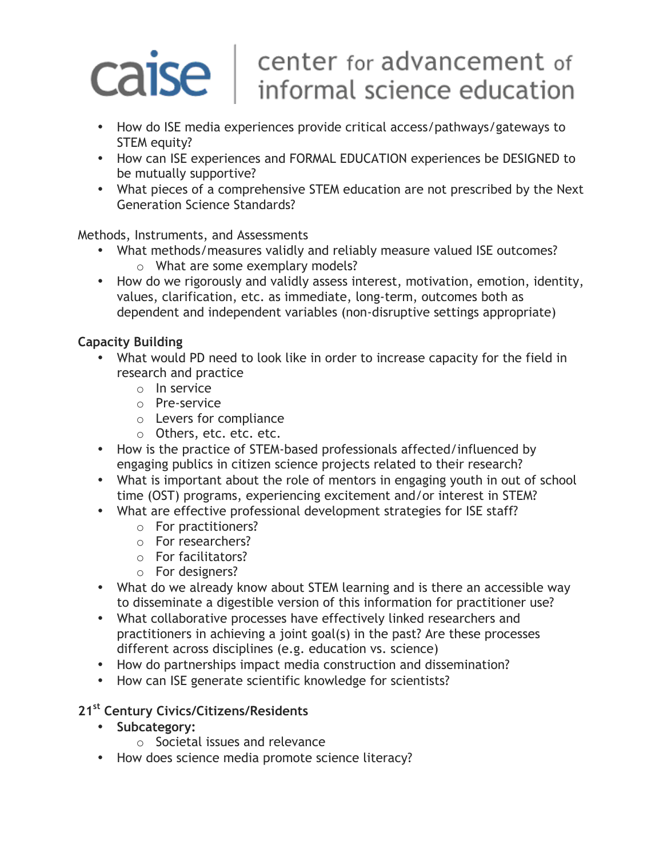## center for advancement of caise informal science education

- How do ISE media experiences provide critical access/pathways/gateways to STEM equity?
- How can ISE experiences and FORMAL EDUCATION experiences be DESIGNED to be mutually supportive?
- What pieces of a comprehensive STEM education are not prescribed by the Next Generation Science Standards?

Methods, Instruments, and Assessments

- What methods/measures validly and reliably measure valued ISE outcomes? o What are some exemplary models?
- How do we rigorously and validly assess interest, motivation, emotion, identity, values, clarification, etc. as immediate, long-term, outcomes both as dependent and independent variables (non-disruptive settings appropriate)

### **Capacity Building**

- What would PD need to look like in order to increase capacity for the field in research and practice
	- o In service
	- o Pre-service
	- o Levers for compliance
	- o Others, etc. etc. etc.
- How is the practice of STEM-based professionals affected/influenced by engaging publics in citizen science projects related to their research?
- What is important about the role of mentors in engaging youth in out of school time (OST) programs, experiencing excitement and/or interest in STEM?
- What are effective professional development strategies for ISE staff?
	- o For practitioners?
	- o For researchers?
	- o For facilitators?
	- o For designers?
- What do we already know about STEM learning and is there an accessible way to disseminate a digestible version of this information for practitioner use?
- What collaborative processes have effectively linked researchers and practitioners in achieving a joint goal(s) in the past? Are these processes different across disciplines (e.g. education vs. science)
- How do partnerships impact media construction and dissemination?
- How can ISE generate scientific knowledge for scientists?

### **21st Century Civics/Citizens/Residents**

- **Subcategory:**
	- o Societal issues and relevance
- How does science media promote science literacy?